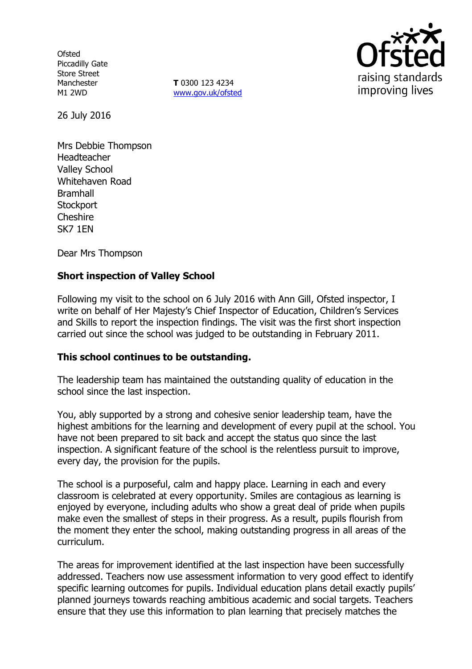**Ofsted** Piccadilly Gate Store Street Manchester M1 2WD

**T** 0300 123 4234 www.gov.uk/ofsted



26 July 2016

Mrs Debbie Thompson Headteacher Valley School Whitehaven Road **Bramhall Stockport Cheshire** SK7 1EN

Dear Mrs Thompson

## **Short inspection of Valley School**

Following my visit to the school on 6 July 2016 with Ann Gill, Ofsted inspector, I write on behalf of Her Majesty's Chief Inspector of Education, Children's Services and Skills to report the inspection findings. The visit was the first short inspection carried out since the school was judged to be outstanding in February 2011.

## **This school continues to be outstanding.**

The leadership team has maintained the outstanding quality of education in the school since the last inspection.

You, ably supported by a strong and cohesive senior leadership team, have the highest ambitions for the learning and development of every pupil at the school. You have not been prepared to sit back and accept the status quo since the last inspection. A significant feature of the school is the relentless pursuit to improve, every day, the provision for the pupils.

The school is a purposeful, calm and happy place. Learning in each and every classroom is celebrated at every opportunity. Smiles are contagious as learning is enjoyed by everyone, including adults who show a great deal of pride when pupils make even the smallest of steps in their progress. As a result, pupils flourish from the moment they enter the school, making outstanding progress in all areas of the curriculum.

The areas for improvement identified at the last inspection have been successfully addressed. Teachers now use assessment information to very good effect to identify specific learning outcomes for pupils. Individual education plans detail exactly pupils' planned journeys towards reaching ambitious academic and social targets. Teachers ensure that they use this information to plan learning that precisely matches the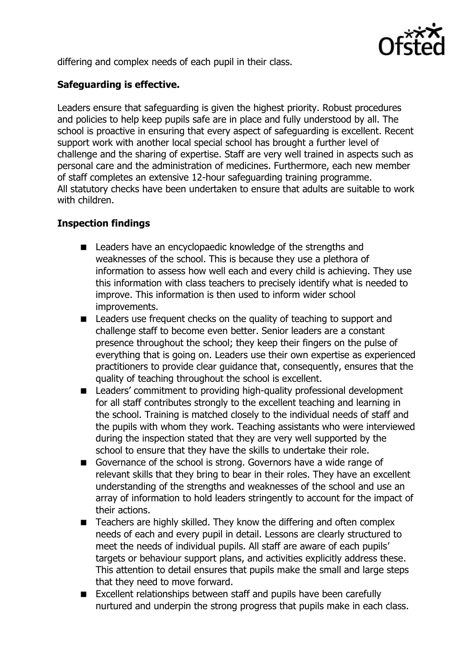

differing and complex needs of each pupil in their class.

# **Safeguarding is effective.**

Leaders ensure that safeguarding is given the highest priority. Robust procedures and policies to help keep pupils safe are in place and fully understood by all. The school is proactive in ensuring that every aspect of safeguarding is excellent. Recent support work with another local special school has brought a further level of challenge and the sharing of expertise. Staff are very well trained in aspects such as personal care and the administration of medicines. Furthermore, each new member of staff completes an extensive 12-hour safeguarding training programme. All statutory checks have been undertaken to ensure that adults are suitable to work with children.

## **Inspection findings**

- Leaders have an encyclopaedic knowledge of the strengths and weaknesses of the school. This is because they use a plethora of information to assess how well each and every child is achieving. They use this information with class teachers to precisely identify what is needed to improve. This information is then used to inform wider school improvements.
- Leaders use frequent checks on the quality of teaching to support and challenge staff to become even better. Senior leaders are a constant presence throughout the school; they keep their fingers on the pulse of everything that is going on. Leaders use their own expertise as experienced practitioners to provide clear guidance that, consequently, ensures that the quality of teaching throughout the school is excellent.
- Leaders' commitment to providing high-quality professional development for all staff contributes strongly to the excellent teaching and learning in the school. Training is matched closely to the individual needs of staff and the pupils with whom they work. Teaching assistants who were interviewed during the inspection stated that they are very well supported by the school to ensure that they have the skills to undertake their role.
- Governance of the school is strong. Governors have a wide range of relevant skills that they bring to bear in their roles. They have an excellent understanding of the strengths and weaknesses of the school and use an array of information to hold leaders stringently to account for the impact of their actions.
- Teachers are highly skilled. They know the differing and often complex needs of each and every pupil in detail. Lessons are clearly structured to meet the needs of individual pupils. All staff are aware of each pupils' targets or behaviour support plans, and activities explicitly address these. This attention to detail ensures that pupils make the small and large steps that they need to move forward.
- Excellent relationships between staff and pupils have been carefully nurtured and underpin the strong progress that pupils make in each class.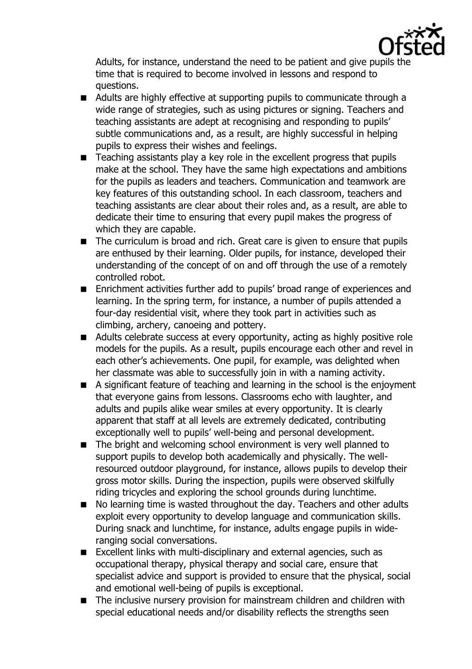

Adults, for instance, understand the need to be patient and give pupils the time that is required to become involved in lessons and respond to questions.

- Adults are highly effective at supporting pupils to communicate through a wide range of strategies, such as using pictures or signing. Teachers and teaching assistants are adept at recognising and responding to pupils' subtle communications and, as a result, are highly successful in helping pupils to express their wishes and feelings.
- Teaching assistants play a key role in the excellent progress that pupils make at the school. They have the same high expectations and ambitions for the pupils as leaders and teachers. Communication and teamwork are key features of this outstanding school. In each classroom, teachers and teaching assistants are clear about their roles and, as a result, are able to dedicate their time to ensuring that every pupil makes the progress of which they are capable.
- The curriculum is broad and rich. Great care is given to ensure that pupils are enthused by their learning. Older pupils, for instance, developed their understanding of the concept of on and off through the use of a remotely controlled robot.
- **Enrichment activities further add to pupils' broad range of experiences and** learning. In the spring term, for instance, a number of pupils attended a four-day residential visit, where they took part in activities such as climbing, archery, canoeing and pottery.
- **Adults celebrate success at every opportunity, acting as highly positive role** models for the pupils. As a result, pupils encourage each other and revel in each other's achievements. One pupil, for example, was delighted when her classmate was able to successfully join in with a naming activity.
- A significant feature of teaching and learning in the school is the enjoyment that everyone gains from lessons. Classrooms echo with laughter, and adults and pupils alike wear smiles at every opportunity. It is clearly apparent that staff at all levels are extremely dedicated, contributing exceptionally well to pupils' well-being and personal development.
- The bright and welcoming school environment is very well planned to support pupils to develop both academically and physically. The wellresourced outdoor playground, for instance, allows pupils to develop their gross motor skills. During the inspection, pupils were observed skilfully riding tricycles and exploring the school grounds during lunchtime.
- No learning time is wasted throughout the day. Teachers and other adults exploit every opportunity to develop language and communication skills. During snack and lunchtime, for instance, adults engage pupils in wideranging social conversations.
- Excellent links with multi-disciplinary and external agencies, such as occupational therapy, physical therapy and social care, ensure that specialist advice and support is provided to ensure that the physical, social and emotional well-being of pupils is exceptional.
- The inclusive nursery provision for mainstream children and children with special educational needs and/or disability reflects the strengths seen